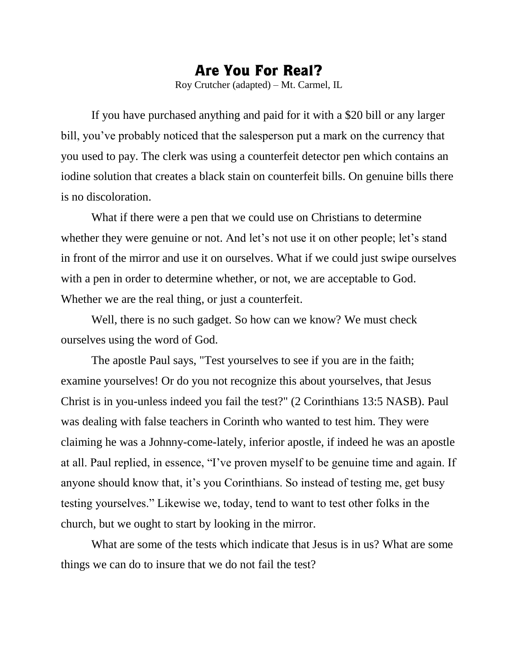## Are You For Real?

Roy Crutcher (adapted) – Mt. Carmel, IL

If you have purchased anything and paid for it with a \$20 bill or any larger bill, you've probably noticed that the salesperson put a mark on the currency that you used to pay. The clerk was using a counterfeit detector pen which contains an iodine solution that creates a black stain on counterfeit bills. On genuine bills there is no discoloration.

What if there were a pen that we could use on Christians to determine whether they were genuine or not. And let's not use it on other people; let's stand in front of the mirror and use it on ourselves. What if we could just swipe ourselves with a pen in order to determine whether, or not, we are acceptable to God. Whether we are the real thing, or just a counterfeit.

Well, there is no such gadget. So how can we know? We must check ourselves using the word of God.

The apostle Paul says, "Test yourselves to see if you are in the faith; examine yourselves! Or do you not recognize this about yourselves, that Jesus Christ is in you-unless indeed you fail the test?" (2 Corinthians 13:5 NASB). Paul was dealing with false teachers in Corinth who wanted to test him. They were claiming he was a Johnny-come-lately, inferior apostle, if indeed he was an apostle at all. Paul replied, in essence, "I've proven myself to be genuine time and again. If anyone should know that, it's you Corinthians. So instead of testing me, get busy testing yourselves." Likewise we, today, tend to want to test other folks in the church, but we ought to start by looking in the mirror.

What are some of the tests which indicate that Jesus is in us? What are some things we can do to insure that we do not fail the test?